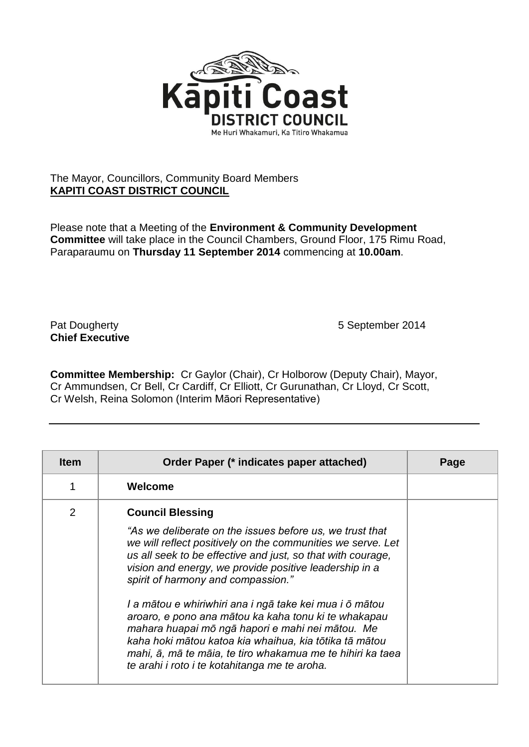

## The Mayor, Councillors, Community Board Members **KAPITI COAST DISTRICT COUNCIL**

Please note that a Meeting of the **Environment & Community Development Committee** will take place in the Council Chambers, Ground Floor, 175 Rimu Road, Paraparaumu on **Thursday 11 September 2014** commencing at **10.00am**.

## **Chief Executive**

Pat Dougherty **1988** September 2014

**Committee Membership:** Cr Gaylor (Chair), Cr Holborow (Deputy Chair), Mayor, Cr Ammundsen, Cr Bell, Cr Cardiff, Cr Elliott, Cr Gurunathan, Cr Lloyd, Cr Scott, Cr Welsh, Reina Solomon (Interim Māori Representative)

| <b>Item</b> | Order Paper (* indicates paper attached)                                                                                                                                                                                                                                                                                                                                                                                                     | Page |
|-------------|----------------------------------------------------------------------------------------------------------------------------------------------------------------------------------------------------------------------------------------------------------------------------------------------------------------------------------------------------------------------------------------------------------------------------------------------|------|
|             | Welcome                                                                                                                                                                                                                                                                                                                                                                                                                                      |      |
| 2           | <b>Council Blessing</b><br>"As we deliberate on the issues before us, we trust that<br>we will reflect positively on the communities we serve. Let<br>us all seek to be effective and just, so that with courage,                                                                                                                                                                                                                            |      |
|             | vision and energy, we provide positive leadership in a<br>spirit of harmony and compassion."<br>I a mātou e whiriwhiri ana i ngā take kei mua i ō mātou<br>aroaro, e pono ana mātou ka kaha tonu ki te whakapau<br>mahara huapai mō ngā hapori e mahi nei mātou. Me<br>kaha hoki mātou katoa kia whaihua, kia tōtika tā mātou<br>mahi, ā, mā te māia, te tiro whakamua me te hihiri ka taea<br>te arahi i roto i te kotahitanga me te aroha. |      |